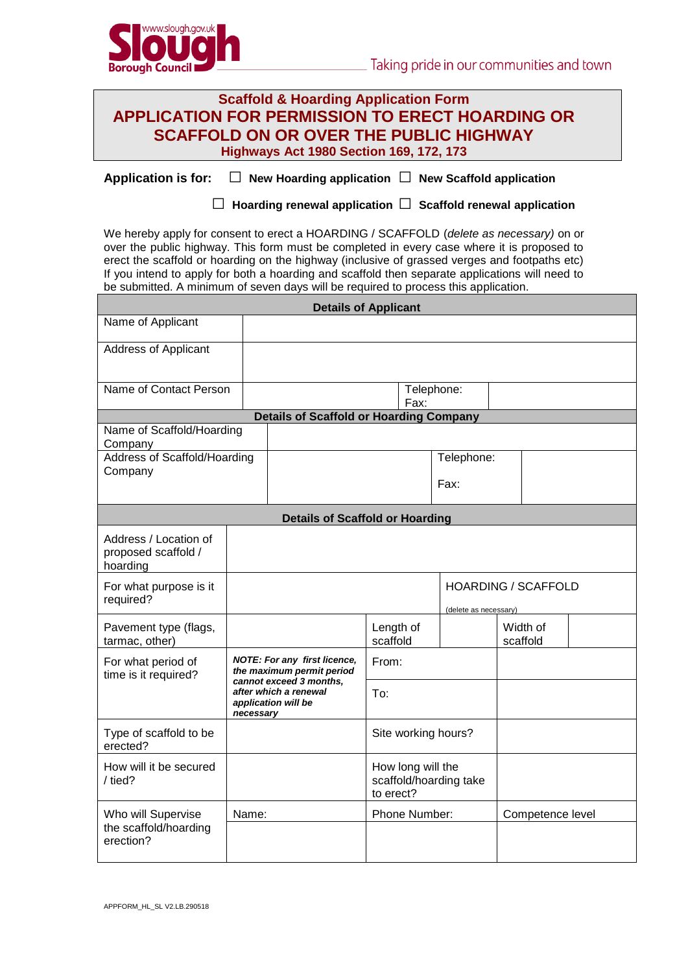

| <b>Scaffold &amp; Hoarding Application Form</b>        |
|--------------------------------------------------------|
| <b>APPLICATION FOR PERMISSION TO ERECT HOARDING OR</b> |
| <b>SCAFFOLD ON OR OVER THE PUBLIC HIGHWAY</b>          |
| <b>Highways Act 1980 Section 169, 172, 173</b>         |

**Application is for: □ New Hoarding application □ New Scaffold application**

 **□ Hoarding renewal application □ Scaffold renewal application**

We hereby apply for consent to erect a HOARDING / SCAFFOLD (*delete as necessary)* on or over the public highway. This form must be completed in every case where it is proposed to erect the scaffold or hoarding on the highway (inclusive of grassed verges and footpaths etc) If you intend to apply for both a hoarding and scaffold then separate applications will need to be submitted. A minimum of seven days will be required to process this application.

| <b>Details of Applicant</b>                              |                                                                                                                                                   |  |                                                          |            |          |                  |  |  |
|----------------------------------------------------------|---------------------------------------------------------------------------------------------------------------------------------------------------|--|----------------------------------------------------------|------------|----------|------------------|--|--|
| Name of Applicant                                        |                                                                                                                                                   |  |                                                          |            |          |                  |  |  |
| <b>Address of Applicant</b>                              |                                                                                                                                                   |  |                                                          |            |          |                  |  |  |
|                                                          |                                                                                                                                                   |  |                                                          |            |          |                  |  |  |
| Name of Contact Person                                   |                                                                                                                                                   |  | Telephone:<br>Fax:                                       |            |          |                  |  |  |
| <b>Details of Scaffold or Hoarding Company</b>           |                                                                                                                                                   |  |                                                          |            |          |                  |  |  |
| Name of Scaffold/Hoarding<br>Company                     |                                                                                                                                                   |  |                                                          |            |          |                  |  |  |
| Address of Scaffold/Hoarding<br>Company                  |                                                                                                                                                   |  |                                                          | Telephone: |          |                  |  |  |
|                                                          |                                                                                                                                                   |  |                                                          | Fax:       |          |                  |  |  |
| <b>Details of Scaffold or Hoarding</b>                   |                                                                                                                                                   |  |                                                          |            |          |                  |  |  |
| Address / Location of<br>proposed scaffold /<br>hoarding |                                                                                                                                                   |  |                                                          |            |          |                  |  |  |
| For what purpose is it<br>required?                      |                                                                                                                                                   |  | <b>HOARDING / SCAFFOLD</b><br>(delete as necessary)      |            |          |                  |  |  |
| Pavement type (flags,<br>tarmac, other)                  |                                                                                                                                                   |  | Length of<br>scaffold                                    |            | scaffold | Width of         |  |  |
| For what period of<br>time is it required?               | NOTE: For any first licence,<br>the maximum permit period<br>cannot exceed 3 months,<br>after which a renewal<br>application will be<br>necessary |  | From:                                                    |            |          |                  |  |  |
|                                                          |                                                                                                                                                   |  | To:                                                      |            |          |                  |  |  |
| Type of scaffold to be<br>erected?                       |                                                                                                                                                   |  | Site working hours?                                      |            |          |                  |  |  |
| How will it be secured<br>/ tied?                        |                                                                                                                                                   |  | How long will the<br>scaffold/hoarding take<br>to erect? |            |          |                  |  |  |
| Who will Supervise                                       | Name:                                                                                                                                             |  | Phone Number:                                            |            |          | Competence level |  |  |
| the scaffold/hoarding<br>erection?                       |                                                                                                                                                   |  |                                                          |            |          |                  |  |  |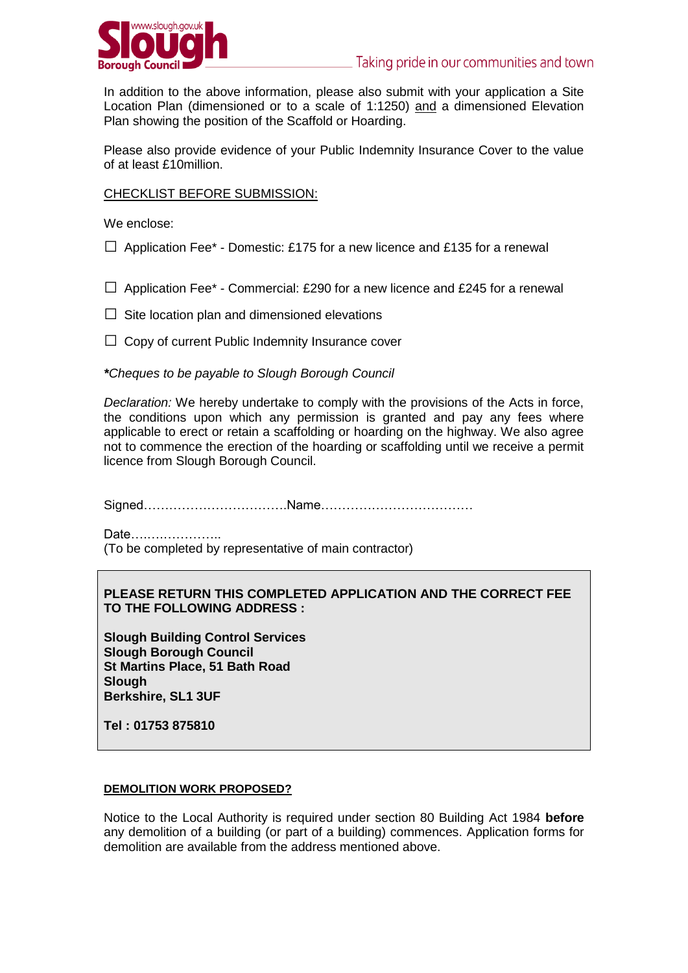

In addition to the above information, please also submit with your application a Site Location Plan (dimensioned or to a scale of 1:1250) and a dimensioned Elevation Plan showing the position of the Scaffold or Hoarding.

Please also provide evidence of your Public Indemnity Insurance Cover to the value of at least £10million.

## CHECKLIST BEFORE SUBMISSION:

We enclose:

- $\Box$  Application Fee\* Domestic: £175 for a new licence and £135 for a renewal
- $\Box$  Application Fee\* Commercial: £290 for a new licence and £245 for a renewal
- $\Box$  Site location plan and dimensioned elevations
- $\Box$  Copy of current Public Indemnity Insurance cover

## *\*Cheques to be payable to Slough Borough Council*

*Declaration:* We hereby undertake to comply with the provisions of the Acts in force, the conditions upon which any permission is granted and pay any fees where applicable to erect or retain a scaffolding or hoarding on the highway. We also agree not to commence the erection of the hoarding or scaffolding until we receive a permit licence from Slough Borough Council.

Signed…………………………….Name………………………………

Date….….…………..

(To be completed by representative of main contractor)

# **PLEASE RETURN THIS COMPLETED APPLICATION AND THE CORRECT FEE TO THE FOLLOWING ADDRESS :**

**Slough Building Control Services Slough Borough Council St Martins Place, 51 Bath Road Slough Berkshire, SL1 3UF**

**Tel : 01753 875810**

## **DEMOLITION WORK PROPOSED?**

Notice to the Local Authority is required under section 80 Building Act 1984 **before** any demolition of a building (or part of a building) commences. Application forms for demolition are available from the address mentioned above.